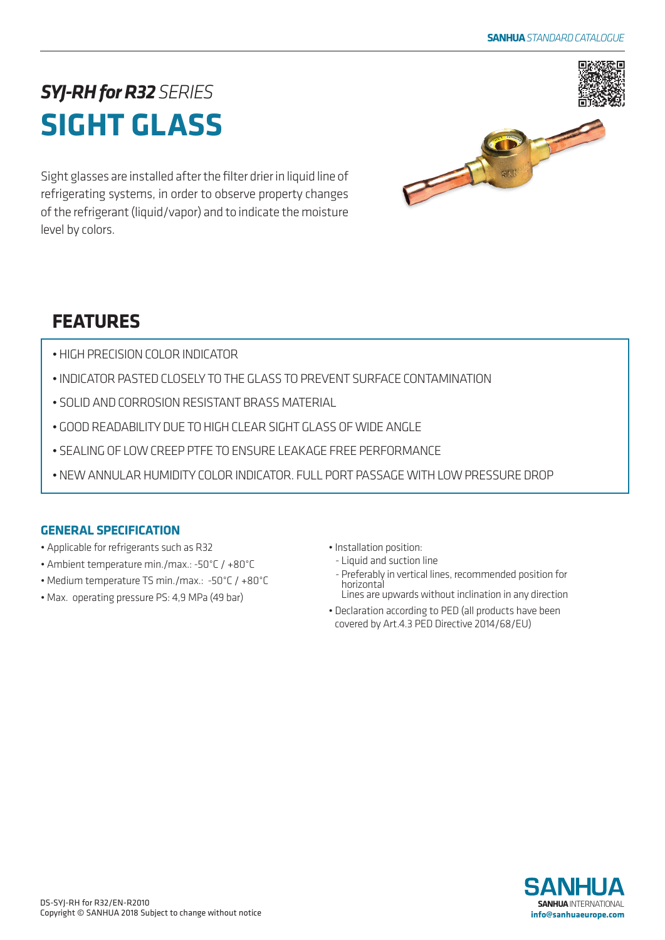# *SYJ-RH for R32SERIES* **SIGHT GLASS**

Sight glasses are installed after the filter drier in liquid line of refrigerating systems, in order to observe property changes of the refrigerant (liquid/vapor) and to indicate the moisture level by colors.



## **FEATURES**

- HIGH PRECISION COLOR INDICATOR
- INDICATOR PASTED CLOSELY TO THE GLASS TO PREVENT SURFACE CONTAMINATION
- SOLID AND CORROSION RESISTANT BRASS MATERIAL
- GOOD READABILITY DUE TO HIGH CLEAR SIGHT GLASS OF WIDE ANGLE
- SEALING OF LOW CREEP PTFE TO ENSURE LEAKAGE FREE PERFORMANCE
- NEW ANNULAR HUMIDITY COLOR INDICATOR. FULL PORT PASSAGE WITH LOW PRESSURE DROP

### **GENERAL SPECIFICATION**

- Applicable for refrigerants such as R32
- Ambient temperature min./max.: -50°C / +80°C
- Medium temperature TS min./max.: -50°C / +80°C
- Max. operating pressure PS: 4,9 MPa (49 bar)

• Installation position:

- Liquid and suction line
- Preferably in vertical lines, recommended position for horizontal Lines are upwards without inclination in any direction
- Declaration according to PED (all products have been covered by Art.4.3 PED Directive 2014/68/EU)